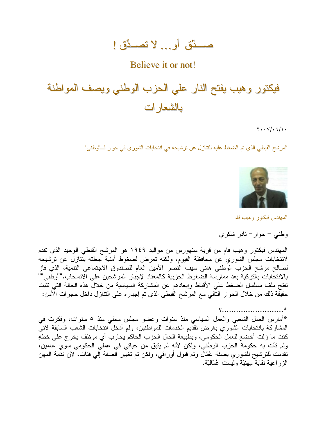صـــدِّق أو… لا تصــدِّق !

Believe it or not!

فيكتور وهيب يفتح النار على الحزب الوطني ويصف المواطنة بالشعارات

 $Y \cdot \cdot Y / \cdot 7 / 1$ .

المرشح القبطي الذي تم الضغط عليه للنتازل عن ترشيحه في انتخابات الشوري في حوار لـــــ"وطني"



المهندس فيكتور وهيب فام

وطنبي – حوار – نادر شکري

المهندس فيكتور وهيب فام من قرية سنهورس من مواليد ١٩٤٩ هو المرشح القبطي الوحيد الذي تقدم لانتخابات مجلس الشوري عن محافظة الفيوم، ولكنه تعرض لضغوط أمنية جعلته يتنازل عن ترشيحه لصالح مرشح الحزب الوطني هاني سيف النصر الأمين العام للصندوق الاجتماعي التنمية، الذي فاز بالانتخابات بالنزكية بعد ممارسة الضغوط الحزبية كالمعتاد لإجبار المرشحين على الانسحاب.'"وطَّني''" نفتح ملف مسلسل الضغط علي الأقباط وإبعادهم عن المشاركة السياسية من خلال هذه الحالة التي نثبت حقيقة ذلك من خلال الحوار النالي مع المرشح القبطي الذي نم إجبار ه على النتازل داخل حجرات الأمن:

. . . . . . . . . \* \*أمارس العمل الشعبي والعمل السياسي منذ سنوات وعضو مجلس محلي منذ ٥ سنوات، وفكرت في المشاركة بانتخابات الشورى بغرض نقديم الخدمات للمواطنين، ولم أدخل انتخابات الشعب السابقة لأنبى كنت ما زلت أخضع للعمل الحكومي، وبطبيعة الحال الحزب الحاكم يحارب أي موظف يخرج على خطهِ ولم تأت به حكومة الحزب الوطني، ولكن لأنه لم يتبق من حياتي في عملي الحكومي سوي عامين، نقدمت للنرشيح للشوري بصفة عُمّال ونم قبول أوراقي، ولكن نم نغيير الصفة إلى فئات، لأن نقابة المهن الزَّرْ اعية نقابة مِهنيَّة وليست عُمَّالَّيَّة.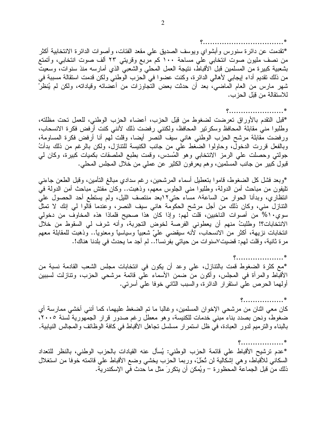\*نقدمت عن دائرة سنورس وأبشواي ويوسف الصديق علي مقعد الفئات، وأصوات الدائرة الانتخابية أكثر من نصف مليون صوت انتخابي علي مساحة ١٠٠ كم مربع وقريتي ٢٣ ألف صوت انتخابي، وأتمتع بشعبية كبيرة من المسلمين قبل الأقباط، نتيجة العمل المحلي والشعبي الذي أمارسه منذ سنوات، وسعيت من ذلك نقديم أداء إيجابي لأهالي الدائرة، وكنت عضوا في الحزب الوطني ولكن قدمت استقالة مسببة في شهر مارس من العام الماضي، بعد أن حدثت بعض النجاوزات من أعضائه وقياداته، ولكن لم يُنظر ْ للاستقالة من قِبَلِ الحز ب.

\*قبل التقدم بالأوراق تعرضت لضغوط من قِبَل الحزب، أعضاء الحزب الوطني، للعمل تحت مظلته، وطلبوا منى مقابلة المحافظ وسكرتير المحافظ، ولكنني رفضت ذلك لأننى كنت أرفض فكرة الانسحاب، ورفضت مقابلة مرشح الحزب الوطني هاني سيف النصر أيضا، وقلت لهم أنا أرفض فكرة المساومة، وبالفعل قررت الدخول، وحاولوا الضغط على من جانب الكنيسة للنتازل، ولكن بالرغم من ذلك بدأتُ جولتي وحصلت على الرمز الانتخابي وهو المُسدس، وقمت بطبع الملصقات بكميات كبيرة، وكان لي قبول كبير من جانب المسلمين، وهم يعرفون الكثير عن عملي من خلال المجلس المحلي.

\*وبعد فشل كل الضغوط، قاموا بتعطيل أسماء المرشحين، رغم سدادي مبالغ التأمين، وقبل الطعن جاءنبي تليفون من مباحث أمن الدولة، وطلبوا مني الجلوس معهم، وذهبت.. وكان مفتش مباحث أمن الدولة في انتظاري، وبدأنا الحوار من الساعة٨ مساء حتى٢١بعد منتصف الليل، ولم يستطع أحد الحصول على النتازل مني، وكان ذلك من أجل مرشح الحكومة هاني سيف النصر، وعندما قالوا لي إنك لا تمثل سوي١٠% من أصوات الناخبين، قلت لهم: وإذا كان هذا صحيح فلماذا هذه المخاوف من دخولي الانتخابات؟! وطلبتُ منهم أن يعطوني الفرصة لخوض التجربة، وأنه شرف لي السقوط من خلال انتخابات نزيهة، أكثر من الانسحاب، لأنه سيقضـي علـيّ شعبياً وسياسياً ومعنوياً.. وذهبت للمقابلة معهم مرة ثانية، وقلت لمهم: قضيتٍ\سنوات من حياتي بفرنسا!.. لم أجد ما يحدث في بلدنا هناك!.

\*مع كثرة الضغوط قمت بالنتازل، علي وعد أن يكون في انتخابات مجلس الشعب القادمة نسبة من الأقباط والمرأة في المجلس، وأكون من ضمن الأسماء على قائمة مرشحي الحزب، وتنازلت لسببين أولَّهما الحرص على استقرار الدائرة، والسبب الثاني خوفًا على أسرتي.

\*<br>**\* . . . . . . . . . . . . . . .** . . كان معي اثنان من مرشحي الإخوان المسلمين، وغالبًا ما نم الضغط عليهما، كما أننـي أخشـي ممارسة أي ضغوط، ونحن بصدد بناء مبنى خدمات للكنيسة، وهو معطل رغم صدور قرار الجمهورية لسنة ٢٠٠٥، بالبناء والنرميم لدور العبادة، في ظل استمرار مسلسل نجاهل الأقباط في كافة الوظائف والمجالس النيابية.

\*عدم ترشيح الأقباط على قائمة الحزب الوطني: يُسأل عنه القيادات بالحزب الوطني، بالنظر للتعداد السكانـي للأقباط، وهي إشكالية لن تُـحلَّ، وربما الـحزب يخشـي وضـع الأقباط علـي قائمته خوفا من استغلال ذلك من قبل الجماعة المحظورة – ويُمكن أن يتكرر َ مثل ما حدث في الإسكندرية.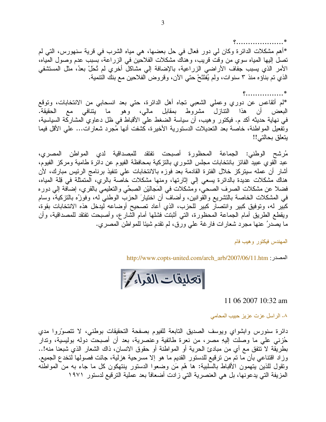## $\mathbf{f}$ ..................\*

\*لم أنقاعس عن دوري وعملي الشعبي نجاه أهل الدائرة، حتي بعد انسحابي من الانتخابات، وتوقع البعض أن هذا النتازل مشروط بمقابل مالـي، وهو ما يتنافـي مـع الـحقيقة. في نـهايـة حديثـه أكد م. فيكتور وهيب، أن سياسة الضغط علـي الأقبـاط فـي ظل دعاوي المشاركـة السياسية، ونفعيل المواطنة، خاصة بعد النعديلات الدستورية الأخيرة، كشفت أنها مُجرد شعارات... على الأقل فيما يتعلق بحالتي!!

مُرشَّحٍ الوطني: الجماعة المحظورة أصبحت تفتقد للمصداقية لدي المواطن المصري، عبد الُّقوي عبيد الفائز بانتخابات مجلس الشوري بالتزكية بمحافظة الفيوم عن دائرة طامية ومركز الفيوم، أشار أن عمله سيتركز خلال الفترة القادمة بعد فوزه بالانتخابات على نتفيذ برنامج الرئيس مبارك، لأن هناك مشكلات عديدة بالدائرة بسعي إلى إثارتها، ومنها مشكلات خاصة بالري، الْمتمثلة فى قِلة المياه، فضلا عن مشكلات الصرف الصحي، ومشكلات في المَجاليْن الصبحِّي والتعليمي بالقري، إضافة إلى دوره في المشكلات الخاصة بالنشريع والقوانين، وأضاف أن اختيارَ الحزب الوطني له، وفوزُه بالنزكية، وسام كبير له، وتوفيق كبير وانتصار كبير للحزب، الذي أعاد تصحيح أوضاعه ليدخل هذه الانتخابات بقوة، ويقطع الطريق أمام الجماعة المحظورة، التي أثبتت فشلها أمام الشارع، وأصبحت تفتقد للمصداقية، وأن ما يصدرُ عنها مجرد شعارات فارغة على ورق، لم نقدم شيئا للمواطن المصري.

المهندس فيكتور وهيب فام

المصدر: http://www.copts-united.com/arch\_arb/2007/06/11.htm

اتعليقات القراء /

11 06 2007 10:32 am

٨- الر اسل عز ت عز يز \_حبيب المحامي

دائرة سنورس وابشواي ويوسف الصديق التابعة للفيوم بصفحة التحقيقات بوطنبي، لا نتصوَّروا مدي حُزنبي عليي ما وصلت إليهِ مصر، من نعرة طائفية وعنصرية، بعد أن أصبحت دوله بوليسية، وندار بطريقة لا نتفق مع أي من مبادئ الحرية أو المواطنة أو حقوق الانسان، ذاك الشعار الذي شبعنا منه!.. وزاد اقتناعي بأن ما تم من ترقيع للدستور القديم ما هو إلا مسرحية هزلية، جائت فصولها لتخدع الجميع. ونقول للذين يتهمون الأقباط بالسلبية: ها هُم مَن وضعوا الدستور ينتهكون كل ما جاء به من المواطنه المزيفة التي يدعونها، بل هي العنصرية التي زادت أضعافاً بعد عملية الترقيع لدستور ١٩٧١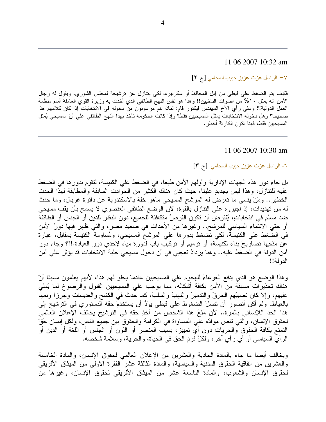11 06 2007 10:32 am

٧– الراسل عزت عزيز حبيب المحامي [ج ٢]

فكيف يتم الضغط على قبطي من قِبل المحافظ أو سكرنيره، لكي ينتازل عن نرشيحة لمجلس الشوري، ويقول له رجال الأمن انه بمثل ١٠% من اصوات الناخبين!! وهذا هو نفس النهج الطائفي الذي أخذت به وزيرة القوي العاملة أمام منظمة العمل الدولية!؟ وعلي رأي الأخ المهندس فيكتور فام: لماذا هم مرعوبون من دخوله في الانتخابات إذا كان كلامهم هذا صحيحا؟ و هل دخوله الانتخابات بمثل المسيحيين فقط؟ وإذا كانت الحكومة تأخذ بهذا النهج الطائفي على أنّ المسيحي يُمثل المسيحيين فقط، فهنا نكون الكارثة أخطر .

11 06 2007 10:30 am

٦- الراسل عزت عزيز حبيب المحامي [ج ٣]

بل جاء دور هذه الجهات الإدارية وأولهم الأمن طبعا، في الضغط على الكنيسة، لتقوم بدورها في الضغط عليه للتنازل، وهذا ليس بجديدٍ علينا، حيث كان هناك الكثير من الحوادث السابقة والمطابقة لهذا الحدث الخطير .. ومَنْ بنِسى ما نعرِض له المرشح المسيحي ماهر خلة بالاسكندرية عن دائرة غربال، وما حدث له من تهديدات، إذ أجبروه على التنازل بالقوة، لان الوضع الطائفي العنصري لا يسمح بأن يقف مسيحي ضد مسلم في انتخاباتٍ، يُفترض أن تكون الفرَصُ متكافئة للجميع، دون النظر للدين أو الجنس أو الطائفة أو حتى الانتماء السياسي للمرشح.. وغيرها من الأحداث في صعيد مصر، والتي ظهر فيها دورُ الأمن في الضغط على الكنيسة، لكي نضغط بدورها على المرشح المسيحي، ومُساومة الكنيسة بمقابل، عبارة عن مَنْحِها نصاريحَ بناء لكنيسة، أو نرميم أو نركيب باب لدورة مياه لإحدي دور العبادة.!!؟ وجاء دور أمن الدولة في الضغط عليه.. وهنا يزدادُ تعجبي في أن دخول مسيحي حلبة الانتخابات قد يؤثر على أمن الدو لة!!

وهذا الوضع هو الذي يدفع الغوغاءَ للهجوم على المسيحيين عندما يحلو لمهم هذا، لأنهم يعلمون مسبقا أنَّ هناك تحذيرات مسبقة من الأمن بكافة أشكاله، مما يوجب على المسيحيين القبول والرضوخ لما يُملي عليهم، وإلا كان نصيبُهم الحرقَ والندميرَ والنهبَ والسلبَ، كما حدث في الكشح والعديسات وجرزًا وبمها بالعياط. ولم أكن أنصور أن نصلَ الضغوط على قبطي يودُّ أن يستخدمَ حقهُ الدستوري في الترشيح إلى هذا الحد اللإنساني بالمرة.. لأن مَنْعَ هذا الشخص من أخذِ حقهِ في الترشيح يخالف الإعلان العالمي لحقوق الإنسان، والتي نتص موادَّه على المساواة في الكرامة والحقوق بين جميع الناس، ولكل إنسان حَقَّ النَّمتع بكافة الحقوق والحريات دون أي نمييز، بسبب العنصر أو اللون أو الجنس أو اللغة أو الدين أو الرأي السياسي أو أي رأي آخرٍ، ولكلِّ فردٍ الحقِّ في الحياة، والحرية، وسلامة شخصه.

ويخالف ايضا ما جاء بالمادة الحادية والعشرين من الإعلان العالمي لحقوق الإنسان، والمادة الخامسة والعشرين من انفاقية الحقوق المدنية والسياسية، والمادة الثالثة عشر الفقرة الاولمي من الميثاق الأفريقي لمحقوق الإنسان والشعوب، والملدة الناسعة عشر من الميثاق الأفريقي لحقوق الإنسان، وغيرها من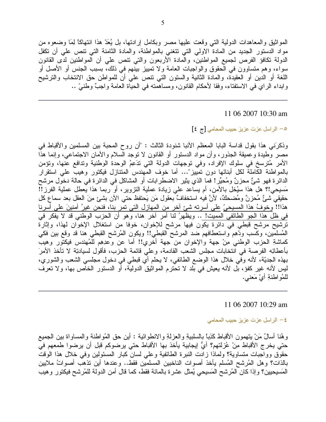المواثيق والمعاهدات الدولية التي وقعت عليها مصر وبكامل إرادتها، بل يُعَدّ هذا انتهاكًا لِمَا وضعوه من مواد الدستور الجديد من المادة الاولى التي نتغنى بالمواطنة، والمادة الثامنة التي نتص على أن نكفل الدولة نكافؤ الفرص لجميع المواطنين، والمادة الأربعون والتي نتص علي أن المواطنين لدى القانون سواء، وهم منساوون في الحقوق والواجبات العامة ولا نمييز بينهم في ذلك، بسبب الجنس أو الأصل أو اللغة أو الدين أو العقيدة، والمـادة الثانية والسنون التـي نتص علـي أن للمواطن حق الانتخاب والنرشيح وابداء الراي في الاستفتاء، وفقًا لأحكام القانون، ومساهمته في الحياة العامة واجبٌ وطنيَّ ..

11 06 2007 10:30 am

0– الراسل عزت عزيز حبيب المحامي [ج ٤]

وذكرَني هذا بقول قداسة البابا المعظم الأنبا شنودة الثالث : "أن روح المحبة بين المسلمين والأقباط في مصر وطيدة وعميقة الجذور، وأن مواد الدستور أو القانون لا نوجد السلام والأمان الاجتماعي، وإنما هذا الأمر مُترسخ في سلوك الإفراد، وفي توجهات الدولة التي تدَعِمُ الوحدة الوطنية وتدافع عنها، وتؤمن بالمواطنة الكاملة لكل أبنائها دون تمييز"… أما خوف المهندس المتنازل فيكتور وهيب على استقرار الدائرة فهو شئٌ محزنٌ ومُحيِّر! فما الذي يثير الاضطرابات أو المشاكل في الدائرة في حالة دخول مرشح مَسيحي!؟ هل هذا سيُخل بالأمن، أم يساعد على زيادة عملية النزوير ، أو ربما هذا يعطل عملية الفرز!! حقيقي َّشئِّ مُحزنٌ ومُضحكٌ، لأنَّ فيه استخفافٌ بعقول مَن يَحتفظ حتى الأن بشئ مِنَ العقل بعد سماع كل هذا!! وخوفُ هذا المسيحيِّ على أسرته شئ آخر من المهازل التي تمر بنا، فنحن غيرُ آمنينَ على أسرنا في ظل هذا الجو الطائفي المميت! .. ويظهرُ لنا أمرٍ أخرٍ هنا، وهو أن الحزب الوطني قد لا يفكر في نرشيح مرشح قبطي في دائرة يكون فيها مرشح للإخوان، خوفا من استغلال الإخوان لمهذا، وإثارة الْمُسْلَمِين، وكسب ودَّهِم واستعطافهم ضد المرشح القبطي!! ويكون الْمُرشح القبطي هنا قد وقع بين فكي كماشةِ الحزب الوطني مِنْ جهة والإخوان من جهة أخرى!! أما عن وعدِهِم للمُهندس فيكتور وهيب بأعطائِه الفرصة في انتخابات مجلس الشعب القادمة، وعلي قائمة الحزب، فأقول لسيادتِة لا تأخذ الأمرَ بهذه الـجديَّة، لأنه وفي خلال هذا الوضع الطائفي، لا يـحلَّم أي قبطي في دخول مـجلسي الشَّعب والشُّوري، ليس لأنه غير كفؤ، بل لأنه يعيش في بلد لا نحترم المواثيق الدولية، أو الدستور الخاص بها، ولا نعرف لْلْمُواطِنَةِ أَيَّ مَعْنَى.

11 06 2007 10:29 am

٤ – الر اسل عزت عزيز حبيب المحامي

وهُنا أسالُ مَنْ يتهمون الأقباط كَذِباً بالسلبيةِ والعزلةِ والانطوائية : أين حق المُواطنة والمساواة بين الجميع حتى يخرج الأقباط مِنْ عُزِلتهم؟ أيُّ إيجابية يأخذ بها الأقباط حتى يرضوكم قبل أن يرضوا طمعهم في حقوق وواجبات متساوية؟ ولماذا زادت النبرة الطائفية وعلى لسان كبار المسئولين وفي خلال هذا الوقت بالذات؟ و هل المُرشح المُسلم يأخذ أصوات الناخبين المسلمين فقط.. وعندها أين تذهب أصواتُ ملايين الْمَسيحيين؟ وإذا كان الْمُرشح الْمَسيحي يُمثِّل عشرة بالمائة فقط، كما قال أمن الدولة للمُرشح فيكتور وهيب